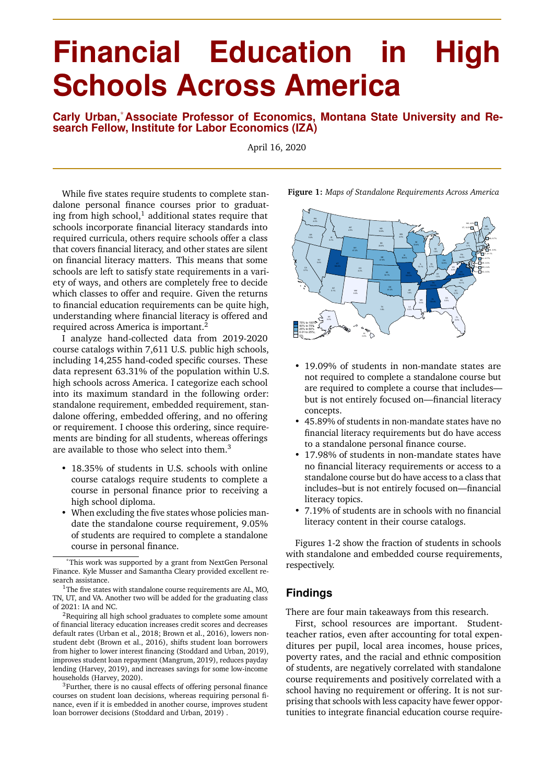## **Financial Education in High Schools Across America**

**Carly Urban,**\***Associate Professor of Economics, Montana State University and Research Fellow, Institute for Labor Economics (IZA)**

April 16, 2020

While five states require students to complete standalone personal finance courses prior to graduating from high school, $1$  additional states require that schools incorporate financial literacy standards into required curricula, others require schools offer a class that covers financial literacy, and other states are silent on financial literacy matters. This means that some schools are left to satisfy state requirements in a variety of ways, and others are completely free to decide which classes to offer and require. Given the returns to financial education requirements can be quite high, understanding where financial literacy is offered and required across America is important.<sup>2</sup>

I analyze hand-collected data from 2019-2020 course catalogs within 7,611 U.S. public high schools, including 14,255 hand-coded specific courses. These data represent 63.31% of the population within U.S. high schools across America. I categorize each school into its maximum standard in the following order: standalone requirement, embedded requirement, standalone offering, embedded offering, and no offering or requirement. I choose this ordering, since requirements are binding for all students, whereas offerings are available to those who select into them.<sup>3</sup>

- 18.35% of students in U.S. schools with online course catalogs require students to complete a course in personal finance prior to receiving a high school diploma.
- When excluding the five states whose policies mandate the standalone course requirement, 9.05% of students are required to complete a standalone course in personal finance.

**Figure 1:** *Maps of Standalone Requirements Across America*



- 19.09% of students in non-mandate states are not required to complete a standalone course but are required to complete a course that includes but is not entirely focused on—financial literacy concepts.
- 45.89% of students in non-mandate states have no financial literacy requirements but do have access to a standalone personal finance course.
- 17.98% of students in non-mandate states have no financial literacy requirements or access to a standalone course but do have access to a class that includes–but is not entirely focused on—financial literacy topics.
- 7.19% of students are in schools with no financial literacy content in their course catalogs.

Figures 1-2 show the fraction of students in schools with standalone and embedded course requirements, respectively.

## **Findings**

There are four main takeaways from this research.

First, school resources are important. Studentteacher ratios, even after accounting for total expenditures per pupil, local area incomes, house prices, poverty rates, and the racial and ethnic composition of students, are negatively correlated with standalone course requirements and positively correlated with a school having no requirement or offering. It is not surprising that schools with less capacity have fewer opportunities to integrate financial education course require-

<sup>\*</sup>This work was supported by a grant from NextGen Personal Finance. Kyle Musser and Samantha Cleary provided excellent research assistance.

 $1$ The five states with standalone course requirements are AL, MO, TN, UT, and VA. Another two will be added for the graduating class of 2021: IA and NC.

<sup>2</sup>Requiring all high school graduates to complete some amount of financial literacy education increases credit scores and decreases default rates (Urban et al., 2018; Brown et al., 2016), lowers nonstudent debt (Brown et al., 2016), shifts student loan borrowers from higher to lower interest financing (Stoddard and Urban, 2019), improves student loan repayment (Mangrum, 2019), reduces payday lending (Harvey, 2019), and increases savings for some low-income households (Harvey, 2020).

<sup>&</sup>lt;sup>3</sup>Further, there is no causal effects of offering personal finance courses on student loan decisions, whereas requiring personal finance, even if it is embedded in another course, improves student loan borrower decisions (Stoddard and Urban, 2019).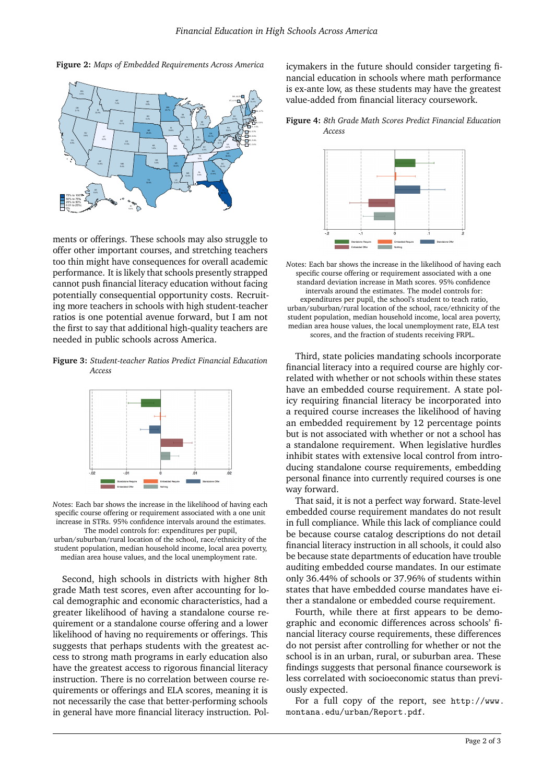**Figure 2:** *Maps of Embedded Requirements Across America*



ments or offerings. These schools may also struggle to offer other important courses, and stretching teachers too thin might have consequences for overall academic performance. It is likely that schools presently strapped cannot push financial literacy education without facing potentially consequential opportunity costs. Recruiting more teachers in schools with high student-teacher ratios is one potential avenue forward, but I am not the first to say that additional high-quality teachers are needed in public schools across America.

**Figure 3:** *Student-teacher Ratios Predict Financial Education Access*



*N*otes: Each bar shows the increase in the likelihood of having each specific course offering or requirement associated with a one unit increase in STRs. 95% confidence intervals around the estimates.

The model controls for: expenditures per pupil, urban/suburban/rural location of the school, race/ethnicity of the student population, median household income, local area poverty, median area house values, and the local unemployment rate.

Second, high schools in districts with higher 8th grade Math test scores, even after accounting for local demographic and economic characteristics, had a greater likelihood of having a standalone course requirement or a standalone course offering and a lower likelihood of having no requirements or offerings. This suggests that perhaps students with the greatest access to strong math programs in early education also have the greatest access to rigorous financial literacy instruction. There is no correlation between course requirements or offerings and ELA scores, meaning it is not necessarily the case that better-performing schools in general have more financial literacy instruction. Pol-

 $\begin{matrix} \mathbb{R}^n \\ \mathbb{Z}^n \end{matrix}$  walue-added from financial literacy coursework. icymakers in the future should consider targeting financial education in schools where math performance is ex-ante low, as these students may have the greatest

CT, 1.5% DE, 6.9%  $ATPSS$  $18.6$  and  $18.6$  and  $18.6$  and  $18.6$  and  $18.6$  and  $18.6$  and  $18.6$  and  $18.6$  and  $18.6$  and  $18.6$  and  $18.6$  and  $18.6$  and  $18.6$  and  $18.6$  and  $18.6$  and  $18.6$  and  $18.6$  and  $18.6$  and  $18.6$  and  $18.6$  and  $7.5\%$   $($  $10<sub>0</sub>$   $10<sub>0</sub>$   $10<sub>0</sub>$   $10<sub>0</sub>$ 



*N*otes: Each bar shows the increase in the likelihood of having each specific course offering or requirement associated with a one standard deviation increase in Math scores. 95% confidence intervals around the estimates. The model controls for: expenditures per pupil, the school's student to teach ratio, urban/suburban/rural location of the school, race/ethnicity of the student population, median household income, local area poverty, median area house values, the local unemployment rate, ELA test scores, and the fraction of students receiving FRPL.

Third, state policies mandating schools incorporate financial literacy into a required course are highly correlated with whether or not schools within these states have an embedded course requirement. A state policy requiring financial literacy be incorporated into a required course increases the likelihood of having an embedded requirement by 12 percentage points but is not associated with whether or not a school has a standalone requirement. When legislative hurdles inhibit states with extensive local control from introducing standalone course requirements, embedding personal finance into currently required courses is one way forward.

That said, it is not a perfect way forward. State-level embedded course requirement mandates do not result in full compliance. While this lack of compliance could be because course catalog descriptions do not detail financial literacy instruction in all schools, it could also be because state departments of education have trouble auditing embedded course mandates. In our estimate only 36.44% of schools or 37.96% of students within states that have embedded course mandates have either a standalone or embedded course requirement.

Fourth, while there at first appears to be demographic and economic differences across schools' financial literacy course requirements, these differences do not persist after controlling for whether or not the school is in an urban, rural, or suburban area. These findings suggests that personal finance coursework is less correlated with socioeconomic status than previously expected.

For a full copy of the report, see http://www. montana.edu/urban/Report.pdf.